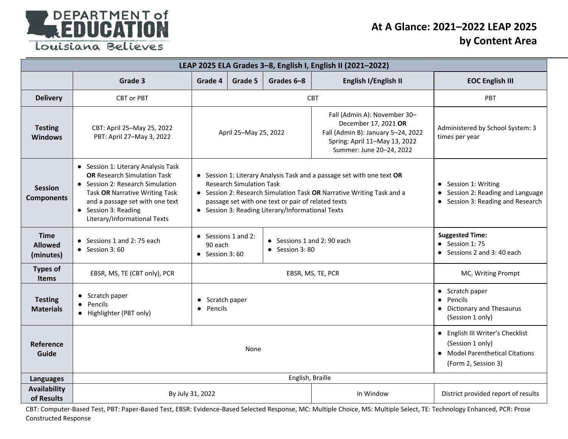

## **At A Glance: 2021–2022 LEAP 2025 by Content Area**

| LEAP 2025 ELA Grades 3-8, English I, English II (2021-2022) |                                                                                                                                                                                                                                            |                                                                                                                                                                                                                                                                                               |         |            |                                                                                                |                                                                                                                |  |
|-------------------------------------------------------------|--------------------------------------------------------------------------------------------------------------------------------------------------------------------------------------------------------------------------------------------|-----------------------------------------------------------------------------------------------------------------------------------------------------------------------------------------------------------------------------------------------------------------------------------------------|---------|------------|------------------------------------------------------------------------------------------------|----------------------------------------------------------------------------------------------------------------|--|
|                                                             | Grade 3                                                                                                                                                                                                                                    | Grade 4                                                                                                                                                                                                                                                                                       | Grade 5 | Grades 6-8 | English I/English II                                                                           | <b>EOC English III</b>                                                                                         |  |
| <b>Delivery</b>                                             | CBT or PBT                                                                                                                                                                                                                                 |                                                                                                                                                                                                                                                                                               |         | <b>CBT</b> | PBT                                                                                            |                                                                                                                |  |
| <b>Testing</b><br><b>Windows</b>                            | CBT: April 25-May 25, 2022<br>PBT: April 27-May 3, 2022                                                                                                                                                                                    | Fall (Admin A): November 30-<br>December 17, 2021 OR<br>Fall (Admin B): January 5-24, 2022<br>April 25-May 25, 2022<br>Spring: April 11-May 13, 2022<br>Summer: June 20-24, 2022                                                                                                              |         |            | Administered by School System: 3<br>times per year                                             |                                                                                                                |  |
| <b>Session</b><br><b>Components</b>                         | • Session 1: Literary Analysis Task<br><b>OR Research Simulation Task</b><br>• Session 2: Research Simulation<br>Task OR Narrative Writing Task<br>and a passage set with one text<br>• Session 3: Reading<br>Literary/Informational Texts | • Session 1: Literary Analysis Task and a passage set with one text OR<br><b>Research Simulation Task</b><br>• Session 2: Research Simulation Task OR Narrative Writing Task and a<br>passage set with one text or pair of related texts<br>• Session 3: Reading Literary/Informational Texts |         |            |                                                                                                | • Session 1: Writing<br>Session 2: Reading and Language<br>• Session 3: Reading and Research                   |  |
| <b>Time</b><br><b>Allowed</b><br>(minutes)                  | • Sessions 1 and 2: 75 each<br>$\bullet$ Session 3:60                                                                                                                                                                                      | $\bullet$ Sessions 1 and 2:<br>• Sessions 1 and 2: 90 each<br>90 each<br>$\bullet$ Session 3:80<br>$\bullet$ Session 3:60                                                                                                                                                                     |         |            | <b>Suggested Time:</b><br>$\bullet$ Session 1:75<br>• Sessions 2 and 3:40 each                 |                                                                                                                |  |
| <b>Types of</b><br><b>Items</b>                             | EBSR, MS, TE (CBT only), PCR                                                                                                                                                                                                               | EBSR, MS, TE, PCR                                                                                                                                                                                                                                                                             |         |            |                                                                                                | MC, Writing Prompt                                                                                             |  |
| <b>Testing</b><br><b>Materials</b>                          | • Scratch paper<br>Pencils<br>• Highlighter (PBT only)                                                                                                                                                                                     | • Scratch paper<br>Pencils                                                                                                                                                                                                                                                                    |         |            | • Scratch paper<br>Pencils<br>$\bullet$<br><b>Dictionary and Thesaurus</b><br>(Session 1 only) |                                                                                                                |  |
| Reference<br>Guide                                          | None                                                                                                                                                                                                                                       |                                                                                                                                                                                                                                                                                               |         |            |                                                                                                | • English III Writer's Checklist<br>(Session 1 only)<br>• Model Parenthetical Citations<br>(Form 2, Session 3) |  |
| <b>Languages</b>                                            | English, Braille                                                                                                                                                                                                                           |                                                                                                                                                                                                                                                                                               |         |            |                                                                                                |                                                                                                                |  |
| Availability<br>of Results                                  | By July 31, 2022<br>In Window                                                                                                                                                                                                              |                                                                                                                                                                                                                                                                                               |         |            | District provided report of results                                                            |                                                                                                                |  |

CBT: Computer-Based Test, PBT: Paper-Based Test, EBSR: Evidence-Based Selected Response, MC: Multiple Choice, MS: Multiple Select, TE: Technology Enhanced, PCR: Prose Constructed Response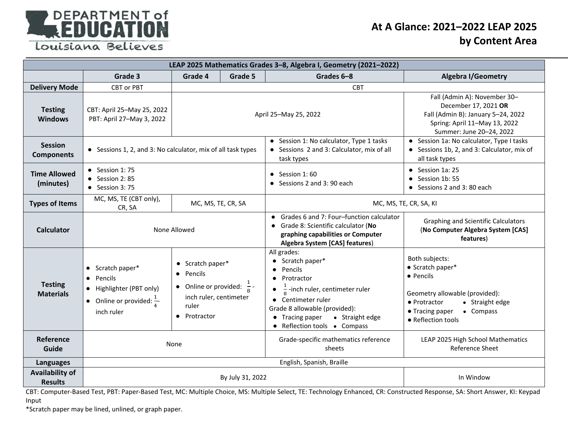

## **At A Glance: 2021–2022 LEAP 2025 by Content Area**

| LEAP 2025 Mathematics Grades 3-8, Algebra I, Geometry (2021-2022) |                                                                                                                        |                                                                                                                                      |                                                |                                                                                                                                                                                                                                                           |                                                                                                                                                                            |  |  |
|-------------------------------------------------------------------|------------------------------------------------------------------------------------------------------------------------|--------------------------------------------------------------------------------------------------------------------------------------|------------------------------------------------|-----------------------------------------------------------------------------------------------------------------------------------------------------------------------------------------------------------------------------------------------------------|----------------------------------------------------------------------------------------------------------------------------------------------------------------------------|--|--|
|                                                                   | Grade 3                                                                                                                | Grade 4                                                                                                                              | Grade 5                                        | Grades 6-8                                                                                                                                                                                                                                                | <b>Algebra I/Geometry</b>                                                                                                                                                  |  |  |
| <b>Delivery Mode</b>                                              | <b>CBT or PBT</b>                                                                                                      |                                                                                                                                      |                                                | <b>CBT</b>                                                                                                                                                                                                                                                |                                                                                                                                                                            |  |  |
| <b>Testing</b><br><b>Windows</b>                                  | CBT: April 25-May 25, 2022<br>PBT: April 27-May 3, 2022                                                                | April 25-May 25, 2022                                                                                                                |                                                |                                                                                                                                                                                                                                                           | Fall (Admin A): November 30-<br>December 17, 2021 OR<br>Fall (Admin B): January 5-24, 2022<br>Spring: April 11-May 13, 2022<br>Summer: June 20-24, 2022                    |  |  |
| <b>Session</b><br><b>Components</b>                               | • Sessions 1, 2, and 3: No calculator, mix of all task types                                                           |                                                                                                                                      |                                                | • Session 1: No calculator, Type 1 tasks<br>• Sessions 2 and 3: Calculator, mix of all<br>task types                                                                                                                                                      | • Session 1a: No calculator, Type I tasks<br>• Sessions 1b, 2, and 3: Calculator, mix of<br>all task types                                                                 |  |  |
| <b>Time Allowed</b><br>(minutes)                                  | $\bullet$ Session 1:75<br>$\bullet$ Session 2:85<br>$\bullet$ Session 3:75                                             |                                                                                                                                      |                                                | $\bullet$ Session 1:60<br>$\bullet$ Sessions 2 and 3:90 each                                                                                                                                                                                              | $\bullet$ Session 1a: 25<br>• Session 1b: 55<br>• Sessions 2 and 3:80 each                                                                                                 |  |  |
| <b>Types of Items</b>                                             | MC, MS, TE (CBT only),<br>MC, MS, TE, CR, SA<br>CR, SA                                                                 |                                                                                                                                      |                                                | MC, MS, TE, CR, SA, KI                                                                                                                                                                                                                                    |                                                                                                                                                                            |  |  |
| <b>Calculator</b>                                                 | None Allowed                                                                                                           |                                                                                                                                      |                                                | • Grades 6 and 7: Four-function calculator<br>• Grade 8: Scientific calculator (No<br>graphing capabilities or Computer<br>Algebra System [CAS] features)                                                                                                 | <b>Graphing and Scientific Calculators</b><br>(No Computer Algebra System [CAS]<br>features)                                                                               |  |  |
| <b>Testing</b><br><b>Materials</b>                                | $\bullet$ Scratch paper*<br>• Pencils<br>• Highlighter (PBT only)<br>• Online or provided: $\frac{1}{4}$<br>inch ruler | • Scratch paper*<br>Pencils<br>$\bullet$<br>• Online or provided: $\frac{1}{8}$ -<br>inch ruler, centimeter<br>ruler<br>• Protractor |                                                | All grades:<br>• Scratch paper*<br>Pencils<br>Protractor<br>$\bullet$<br>$\frac{1}{2}$ -inch ruler, centimeter ruler<br>• Centimeter ruler<br>Grade 8 allowable (provided):<br>$\bullet$ Tracing paper<br>• Straight edge<br>• Reflection tools • Compass | Both subjects:<br>• Scratch paper*<br>• Pencils<br>Geometry allowable (provided):<br>• Straight edge<br>• Protractor<br>• Compass<br>• Tracing paper<br>• Reflection tools |  |  |
| Reference<br>Guide                                                | None                                                                                                                   |                                                                                                                                      | Grade-specific mathematics reference<br>sheets | LEAP 2025 High School Mathematics<br><b>Reference Sheet</b>                                                                                                                                                                                               |                                                                                                                                                                            |  |  |
| Languages                                                         | English, Spanish, Braille                                                                                              |                                                                                                                                      |                                                |                                                                                                                                                                                                                                                           |                                                                                                                                                                            |  |  |
| <b>Availability of</b><br><b>Results</b>                          |                                                                                                                        | By July 31, 2022                                                                                                                     | In Window                                      |                                                                                                                                                                                                                                                           |                                                                                                                                                                            |  |  |

CBT: Computer-Based Test, PBT: Paper-Based Test, MC: Multiple Choice, MS: Multiple Select, TE: Technology Enhanced, CR: Constructed Response, SA: Short Answer, KI: Keypad Input

\*Scratch paper may be lined, unlined, or graph paper.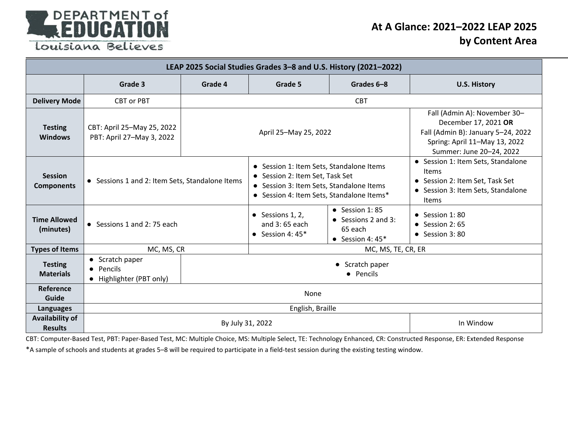

## **At A Glance: 2021–2022 LEAP 2025 by Content Area**

| LEAP 2025 Social Studies Grades 3-8 and U.S. History (2021-2022) |                                                          |                                                                                                                                                                      |                                                                 |                                                                                        |                                                                                                                                                         |  |  |  |
|------------------------------------------------------------------|----------------------------------------------------------|----------------------------------------------------------------------------------------------------------------------------------------------------------------------|-----------------------------------------------------------------|----------------------------------------------------------------------------------------|---------------------------------------------------------------------------------------------------------------------------------------------------------|--|--|--|
|                                                                  | Grade 3                                                  | Grade 4                                                                                                                                                              | Grade 5                                                         | Grades 6-8                                                                             | <b>U.S. History</b>                                                                                                                                     |  |  |  |
| <b>Delivery Mode</b>                                             | <b>CBT or PBT</b>                                        |                                                                                                                                                                      |                                                                 |                                                                                        |                                                                                                                                                         |  |  |  |
| <b>Testing</b><br><b>Windows</b>                                 | CBT: April 25-May 25, 2022<br>PBT: April 27-May 3, 2022  | April 25-May 25, 2022                                                                                                                                                |                                                                 |                                                                                        | Fall (Admin A): November 30-<br>December 17, 2021 OR<br>Fall (Admin B): January 5-24, 2022<br>Spring: April 11-May 13, 2022<br>Summer: June 20-24, 2022 |  |  |  |
| <b>Session</b><br><b>Components</b>                              | • Sessions 1 and 2: Item Sets, Standalone Items          | • Session 1: Item Sets, Standalone Items<br>• Session 2: Item Set, Task Set<br>• Session 3: Item Sets, Standalone Items<br>• Session 4: Item Sets, Standalone Items* |                                                                 |                                                                                        | • Session 1: Item Sets, Standalone<br>Items<br>• Session 2: Item Set, Task Set<br>• Session 3: Item Sets, Standalone<br>Items                           |  |  |  |
| <b>Time Allowed</b><br>(minutes)                                 | • Sessions 1 and 2:75 each                               |                                                                                                                                                                      | $\bullet$ Sessions 1, 2,<br>and 3:65 each<br>• Session 4: $45*$ | $\bullet$ Session 1:85<br>$\bullet$ Sessions 2 and 3:<br>65 each<br>• Session 4: $45*$ | $\bullet$ Session 1:80<br>$\bullet$ Session 2:65<br>$\bullet$ Session 3:80                                                                              |  |  |  |
| <b>Types of Items</b>                                            | MC, MS, CR                                               |                                                                                                                                                                      | MC, MS, TE, CR, ER                                              |                                                                                        |                                                                                                                                                         |  |  |  |
| <b>Testing</b><br><b>Materials</b>                               | • Scratch paper<br>• Pencils<br>• Highlighter (PBT only) | • Scratch paper<br>• Pencils                                                                                                                                         |                                                                 |                                                                                        |                                                                                                                                                         |  |  |  |
| Reference<br>Guide                                               | None                                                     |                                                                                                                                                                      |                                                                 |                                                                                        |                                                                                                                                                         |  |  |  |
| Languages                                                        | English, Braille                                         |                                                                                                                                                                      |                                                                 |                                                                                        |                                                                                                                                                         |  |  |  |
| <b>Availability of</b><br><b>Results</b>                         | In Window<br>By July 31, 2022                            |                                                                                                                                                                      |                                                                 |                                                                                        |                                                                                                                                                         |  |  |  |

CBT: Computer-Based Test, PBT: Paper-Based Test, MC: Multiple Choice, MS: Multiple Select, TE: Technology Enhanced, CR: Constructed Response, ER: Extended Response

\*A sample of schools and students at grades 5–8 will be required to participate in a field-test session during the existing testing window.